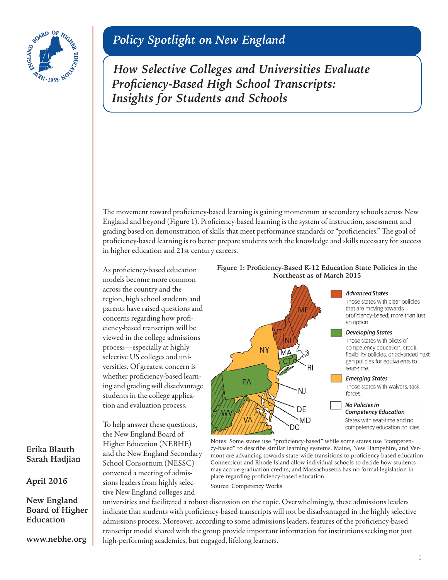

# *Policy Spotlight on New England*

*How Selective Colleges and Universities Evaluate Proficiency-Based High School Transcripts: Insights for Students and Schools*

The movement toward proficiency-based learning is gaining momentum at secondary schools across New England and beyond (Figure 1). Proficiency-based learning is the system of instruction, assessment and grading based on demonstration of skills that meet performance standards or "proficiencies." The goal of proficiency-based learning is to better prepare students with the knowledge and skills necessary for success in higher education and 21st century careers.

As proficiency-based education models become more common across the country and the region, high school students and parents have raised questions and concerns regarding how proficiency-based transcripts will be viewed in the college admissions process—especially at highly selective US colleges and universities. Of greatest concern is whether proficiency-based learning and grading will disadvantage students in the college application and evaluation process.

To help answer these questions, the New England Board of Higher Education (NEBHE) and the New England Secondary School Consortium (NESSC) convened a meeting of admissions leaders from highly selective New England colleges and





Notes: Some states use "proficiency-based" while some states use "competency-based" to describe similar learning systems. Maine, New Hampshire, and Vermont are advancing towards state-wide transitions to proficiency-based education. Connecticut and Rhode Island allow individual schools to decide how students may accrue graduation credits, and Massachusetts has no formal legislation in place regarding proficiency-based education.

Source: [Competency Works](http://www.competencyworks.org/wp-content/uploads/2015/03/Carnegie_CBE_v5.4.png)

universities and facilitated a robust discussion on the topic. Overwhelmingly, these admissions leaders indicate that students with proficiency-based transcripts will not be disadvantaged in the highly selective admissions process. Moreover, according to some admissions leaders, features of the proficiency-based transcript model shared with the group provide important information for institutions seeking not just high-performing academics, but engaged, lifelong learners.

## **Erika Blauth Sarah Hadjian**

**April 2016**

**New England Board of Higher Education**

**<www.nebhe.org>**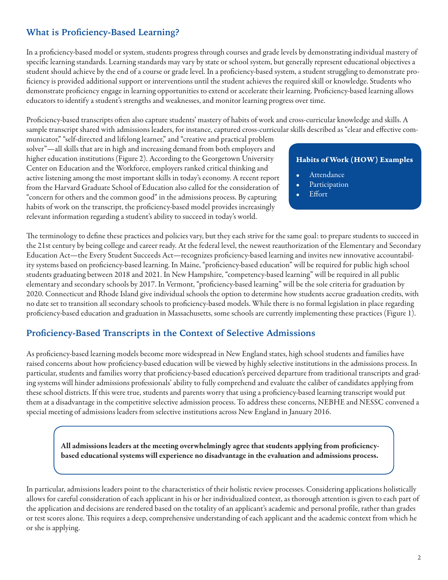# **What is Proficiency-Based Learning?**

In a proficiency-based model or system, students progress through courses and grade levels by demonstrating individual mastery of specific learning standards. Learning standards may vary by state or school system, but generally represent educational objectives a student should achieve by the end of a course or grade level. In a proficiency-based system, a student struggling to demonstrate proficiency is provided additional support or interventions until the student achieves the required skill or knowledge. Students who demonstrate proficiency engage in learning opportunities to extend or accelerate their learning. Proficiency-based learning allows educators to identify a student's strengths and weaknesses, and monitor learning progress over time.

Proficiency-based transcripts often also capture students' mastery of habits of work and cross-curricular knowledge and skills. A sample transcript shared with admissions leaders, for instance, captured cross-curricular skills described as "clear and effective com-

municator," "self-directed and lifelong learner," and "creative and practical problem solver"—all skills that are in high and increasing demand from both employers and higher education institutions (Figure 2). According to the Georgetown University Center on Education and the Workforce, employers ranked critical thinking and active listening among the most important skills in today's economy. A recent report from the Harvard Graduate School of Education also called for the consideration of "concern for others and the common good" in the admissions process. By capturing habits of work on the transcript, the proficiency-based model provides increasingly relevant information regarding a student's ability to succeed in today's world.

## Habits of Work (HOW) Examples

- **Attendance**
- **Participation**
- Effort

The terminology to define these practices and policies vary, but they each strive for the same goal: to prepare students to succeed in the 21st century by being college and career ready. At the federal level, the newest reauthorization of the Elementary and Secondary Education Act—the Every Student Succeeds Act—recognizes proficiency-based learning and invites new innovative accountability systems based on proficiency-based learning. In Maine, "proficiency-based education" will be required for public high school students graduating between 2018 and 2021. In New Hampshire, "competency-based learning" will be required in all public elementary and secondary schools by 2017. In Vermont, "proficiency-based learning" will be the sole criteria for graduation by 2020. Connecticut and Rhode Island give individual schools the option to determine how students accrue graduation credits, with no date set to transition all secondary schools to proficiency-based models. While there is no formal legislation in place regarding proficiency-based education and graduation in Massachusetts, some schools are currently implementing these practices (Figure 1).

## **Proficiency-Based Transcripts in the Context of Selective Admissions**

As proficiency-based learning models become more widespread in New England states, high school students and families have raised concerns about how proficiency-based education will be viewed by highly selective institutions in the admissions process. In particular, students and families worry that proficiency-based education's perceived departure from traditional transcripts and grading systems will hinder admissions professionals' ability to fully comprehend and evaluate the caliber of candidates applying from these school districts. If this were true, students and parents worry that using a proficiency-based learning transcript would put them at a disadvantage in the competitive selective admission process. To address these concerns, NEBHE and NESSC convened a special meeting of admissions leaders from selective institutions across New England in January 2016.

All admissions leaders at the meeting overwhelmingly agree that students applying from proficiencybased educational systems will experience no disadvantage in the evaluation and admissions process.

In particular, admissions leaders point to the characteristics of their holistic review processes. Considering applications holistically allows for careful consideration of each applicant in his or her individualized context, as thorough attention is given to each part of the application and decisions are rendered based on the totality of an applicant's academic and personal profile, rather than grades or test scores alone. This requires a deep, comprehensive understanding of each applicant and the academic context from which he or she is applying.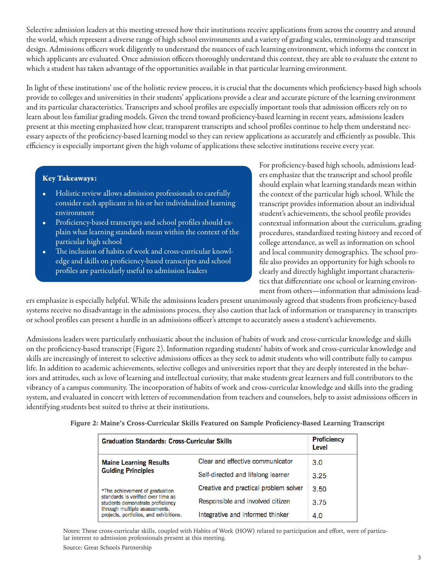Selective admission leaders at this meeting stressed how their institutions receive applications from across the country and around the world, which represent a diverse range of high school environments and a variety of grading scales, terminology and transcript design. Admissions officers work diligently to understand the nuances of each learning environment, which informs the context in which applicants are evaluated. Once admission officers thoroughly understand this context, they are able to evaluate the extent to which a student has taken advantage of the opportunities available in that particular learning environment.

In light of these institutions' use of the holistic review process, it is crucial that the documents which proficiency-based high schools provide to colleges and universities in their students' applications provide a clear and accurate picture of the learning environment and its particular characteristics. Transcripts and school profiles are especially important tools that admission officers rely on to learn about less familiar grading models. Given the trend toward proficiency-based learning in recent years, admissions leaders present at this meeting emphasized how clear, transparent transcripts and school profiles continue to help them understand necessary aspects of the proficiency-based learning model so they can review applications as accurately and efficiently as possible. This efficiency is especially important given the high volume of applications these selective institutions receive every year.

#### Key Takeaways:

- Holistic review allows admission professionals to carefully consider each applicant in his or her individualized learning environment
- Proficiency-based transcripts and school profiles should explain what learning standards mean within the context of the particular high school
- The inclusion of habits of work and cross-curricular knowledge and skills on proficiency-based transcripts and school profiles are particularly useful to admission leaders

For proficiency-based high schools, admissions leaders emphasize that the transcript and school profile should explain what learning standards mean within the context of the particular high school. While the transcript provides information about an individual student's achievements, the school profile provides contextual information about the curriculum, grading procedures, standardized testing history and record of college attendance, as well as information on school and local community demographics. The school profile also provides an opportunity for high schools to clearly and directly highlight important characteristics that differentiate one school or learning environment from others—information that admissions lead-

ers emphasize is especially helpful. While the admissions leaders present unanimously agreed that students from proficiency-based systems receive no disadvantage in the admissions process, they also caution that lack of information or transparency in transcripts or school profiles can present a hurdle in an admissions officer's attempt to accurately assess a student's achievements.

Admissions leaders were particularly enthusiastic about the inclusion of habits of work and cross-curricular knowledge and skills on the proficiency-based transcript (Figure 2). Information regarding students' habits of work and cross-curricular knowledge and skills are increasingly of interest to selective admissions offices as they seek to admit students who will contribute fully to campus life. In addition to academic achievements, selective colleges and universities report that they are deeply interested in the behaviors and attitudes, such as love of learning and intellectual curiosity, that make students great learners and full contributors to the vibrancy of a campus community. The incorporation of habits of work and cross-curricular knowledge and skills into the grading system, and evaluated in concert with letters of recommendation from teachers and counselors, help to assist admissions officers in identifying students best suited to thrive at their institutions.

**Figure 2: Maine's Cross-Curricular Skills Featured on Sample Proficiency-Based Learning Transcript**

| <b>Graduation Standards: Cross-Curricular Skills</b>                                                                                                                                |                                       | <b>Proficiency</b><br>Level |
|-------------------------------------------------------------------------------------------------------------------------------------------------------------------------------------|---------------------------------------|-----------------------------|
| <b>Maine Learning Results</b><br><b>Guiding Principles</b>                                                                                                                          | Clear and effective communicator      | 3.0                         |
|                                                                                                                                                                                     | Self-directed and lifelong learner    | 3.25                        |
| *The achievement of graduation<br>standards is verified over time as<br>students demonstrate proficiency<br>through multiple assessments,<br>projects, portfolios, and exhibitions. | Creative and practical problem solver | 3.50                        |
|                                                                                                                                                                                     | Responsible and involved citizen      | 3.75                        |
|                                                                                                                                                                                     | Integrative and informed thinker      | 4.0                         |

Notes: These cross-curricular skills, coupled with Habits of Work (HOW) related to participation and effort, were of particular interest to admission professionals present at this meeting.